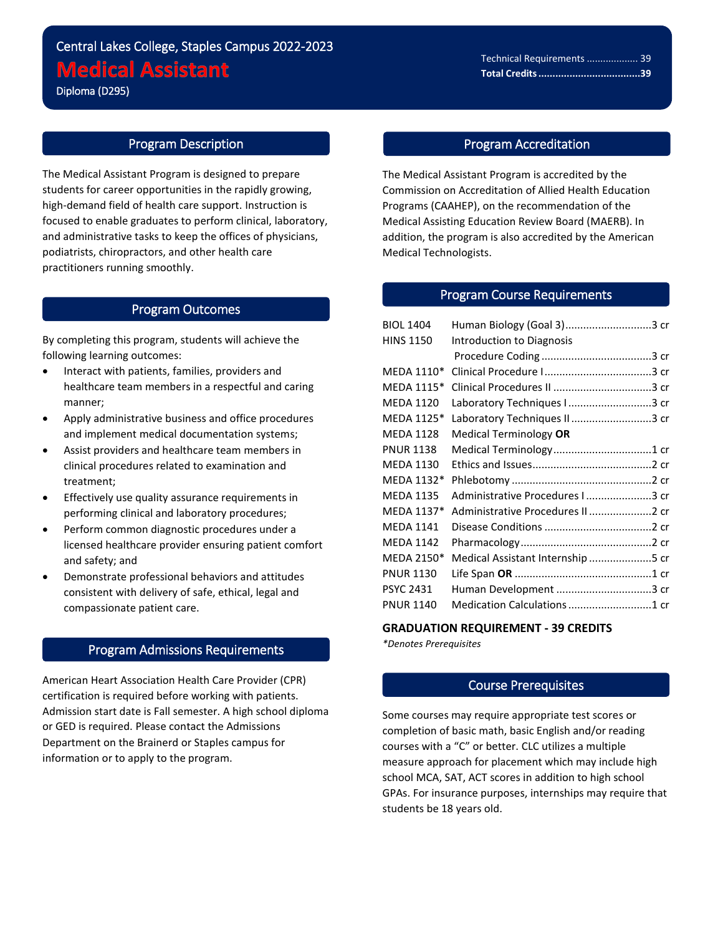Diploma (D295)

l

# Program Description

The Medical Assistant Program is designed to prepare students for career opportunities in the rapidly growing, high-demand field of health care support. Instruction is focused to enable graduates to perform clinical, laboratory, and administrative tasks to keep the offices of physicians, podiatrists, chiropractors, and other health care practitioners running smoothly.

#### Program Outcomes

By completing this program, students will achieve the following learning outcomes:

- Interact with patients, families, providers and healthcare team members in a respectful and caring manner;
- Apply administrative business and office procedures and implement medical documentation systems;
- Assist providers and healthcare team members in clinical procedures related to examination and treatment;
- Effectively use quality assurance requirements in performing clinical and laboratory procedures;
- Perform common diagnostic procedures under a licensed healthcare provider ensuring patient comfort and safety; and
- Demonstrate professional behaviors and attitudes consistent with delivery of safe, ethical, legal and compassionate patient care.

## Program Admissions Requirements

American Heart Association Health Care Provider (CPR) certification is required before working with patients. Admission start date is Fall semester. A high school diploma or GED is required. Please contact the Admissions Department on the Brainerd or Staples campus for information or to apply to the program.

# Program Accreditation

The Medical Assistant Program is accredited by the Commission on Accreditation of Allied Health Education Programs (CAAHEP), on the recommendation of the Medical Assisting Education Review Board (MAERB). In addition, the program is also accredited by the American Medical Technologists.

# Program Course Requirements

| <b>BIOL 1404</b> | Human Biology (Goal 3)3 cr        |  |
|------------------|-----------------------------------|--|
| <b>HINS 1150</b> | Introduction to Diagnosis         |  |
|                  |                                   |  |
| MEDA 1110*       |                                   |  |
| MEDA 1115*       |                                   |  |
| <b>MEDA 1120</b> | Laboratory Techniques I 3 cr      |  |
| MEDA 1125*       | Laboratory Techniques II3 cr      |  |
| <b>MEDA 1128</b> | Medical Terminology OR            |  |
| <b>PNUR 1138</b> |                                   |  |
| <b>MEDA 1130</b> |                                   |  |
| MEDA 1132*       |                                   |  |
| <b>MEDA 1135</b> | Administrative Procedures I3 cr   |  |
| MEDA 1137*       | Administrative Procedures II 2 cr |  |
| <b>MEDA 1141</b> |                                   |  |
| <b>MEDA 1142</b> |                                   |  |
| MEDA 2150*       | Medical Assistant Internship 5 cr |  |
| <b>PNUR 1130</b> |                                   |  |
| PSYC 2431        | Human Development 3 cr            |  |
| <b>PNUR 1140</b> | Medication Calculations 1 cr      |  |
|                  |                                   |  |

#### **GRADUATION REQUIREMENT - 39 CREDITS**

*\*Denotes Prerequisites*

# Course Prerequisites

Some courses may require appropriate test scores or completion of basic math, basic English and/or reading courses with a "C" or better. CLC utilizes a multiple measure approach for placement which may include high school MCA, SAT, ACT scores in addition to high school GPAs. For insurance purposes, internships may require that students be 18 years old.